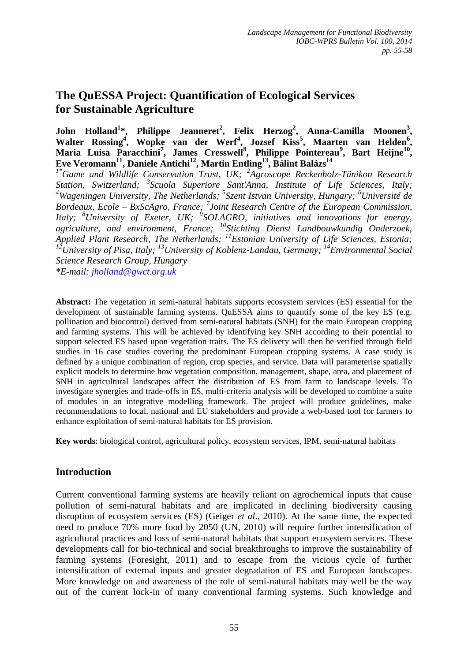# **The QuESSA Project: Quantification of Ecological Services for Sustainable Agriculture**

**John Holland<sup>1</sup> \*, Philippe Jeanneret<sup>2</sup> , Felix Herzog<sup>2</sup> , Anna-Camilla Moonen<sup>3</sup> ,**  Walter Rossing<sup>4</sup>, Wopke van der Werf<sup>4</sup>, Jozsef Kiss<sup>5</sup>, Maarten van Helden<sup>6</sup>, Maria Luisa Paracchini<sup>7</sup>, James Cresswell<sup>8</sup>, Philippe Pointereau<sup>9</sup>, Bart Heijne<sup>10</sup>, **Eve Veromann<sup>11</sup>, Daniele Antichi<sup>12</sup>, Martin Entling<sup>13</sup>, Bálint Balázs<sup>14</sup>** *1\*Game and Wildlife Conservation Trust, UK; <sup>2</sup> Agroscope Reckenholz-Tänikon Research Station, Switzerland; <sup>3</sup> Scuola Superiore Sant'Anna, Institute of Life Sciences, Italy; <sup>4</sup>Wageningen University, The Netherlands; 5 Szent Istvan University, Hungary; <sup>6</sup>Université de Bordeaux, Ecole – BxScAgro, France; <sup>7</sup> Joint Research Centre of the European Commission,* Italy; <sup>8</sup>University of Exeter, UK; <sup>9</sup>SOLAGRO, initiatives and innovations for energy, *agriculture, and environment, France; <sup>10</sup>Stichting Dienst Landbouwkundig Onderzoek, Applied Plant Research, The Netherlands; <sup>11</sup>Estonian University of Life Sciences, Estonia; <sup>12</sup>University of Pisa, Italy; <sup>13</sup>University of Koblenz-Landau, Germany; <sup>14</sup>Environmental Social Science Research Group, Hungary*

*\*E-mail: jholland@gwct.org.uk*

**Abstract:** The vegetation in semi-natural habitats supports ecosystem services (ES) essential for the development of sustainable farming systems. QuESSA aims to quantify some of the key ES (e.g. pollination and biocontrol) derived from semi-natural habitats (SNH) for the main European cropping and farming systems. This will be achieved by identifying key SNH according to their potential to support selected ES based upon vegetation traits. The ES delivery will then be verified through field studies in 16 case studies covering the predominant European cropping systems. A case study is defined by a unique combination of region, crop species, and service. Data will parameterise spatially explicit models to determine how vegetation composition, management, shape, area, and placement of SNH in agricultural landscapes affect the distribution of ES from farm to landscape levels. To investigate synergies and trade-offs in ES, multi-criteria analysis will be developed to combine a suite of modules in an integrative modelling framework. The project will produce guidelines, make recommendations to local, national and EU stakeholders and provide a web-based tool for farmers to enhance exploitation of semi-natural habitats for ES provision.

**Key words**: biological control, agricultural policy, ecosystem services, IPM, semi-natural habitats

## **Introduction**

Current conventional farming systems are heavily reliant on agrochemical inputs that cause pollution of semi-natural habitats and are implicated in declining biodiversity causing disruption of ecosystem services (ES) (Geiger *et al*., 2010). At the same time, the expected need to produce 70% more food by 2050 (UN, 2010) will require further intensification of agricultural practices and loss of semi-natural habitats that support ecosystem services. These developments call for bio-technical and social breakthroughs to improve the sustainability of farming systems (Foresight, 2011) and to escape from the vicious cycle of further intensification of external inputs and greater degradation of ES and European landscapes. More knowledge on and awareness of the role of semi-natural habitats may well be the way out of the current lock-in of many conventional farming systems. Such knowledge and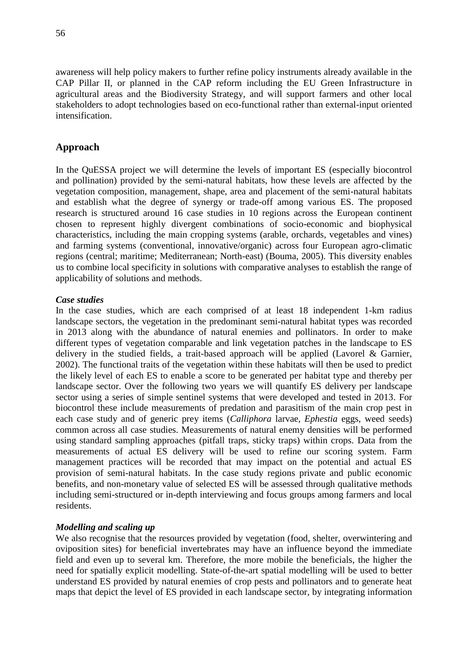awareness will help policy makers to further refine policy instruments already available in the CAP Pillar II, or planned in the CAP reform including the EU Green Infrastructure in agricultural areas and the Biodiversity Strategy, and will support farmers and other local stakeholders to adopt technologies based on eco-functional rather than external-input oriented intensification.

### **Approach**

In the QuESSA project we will determine the levels of important ES (especially biocontrol and pollination) provided by the semi-natural habitats, how these levels are affected by the vegetation composition, management, shape, area and placement of the semi-natural habitats and establish what the degree of synergy or trade-off among various ES. The proposed research is structured around 16 case studies in 10 regions across the European continent chosen to represent highly divergent combinations of socio-economic and biophysical characteristics, including the main cropping systems (arable, orchards, vegetables and vines) and farming systems (conventional, innovative/organic) across four European agro-climatic regions (central; maritime; Mediterranean; North-east) (Bouma, 2005). This diversity enables us to combine local specificity in solutions with comparative analyses to establish the range of applicability of solutions and methods.

#### *Case studies*

In the case studies, which are each comprised of at least 18 independent 1-km radius landscape sectors, the vegetation in the predominant semi-natural habitat types was recorded in 2013 along with the abundance of natural enemies and pollinators. In order to make different types of vegetation comparable and link vegetation patches in the landscape to ES delivery in the studied fields, a trait-based approach will be applied (Lavorel & Garnier, 2002). The functional traits of the vegetation within these habitats will then be used to predict the likely level of each ES to enable a score to be generated per habitat type and thereby per landscape sector. Over the following two years we will quantify ES delivery per landscape sector using a series of simple sentinel systems that were developed and tested in 2013. For biocontrol these include measurements of predation and parasitism of the main crop pest in each case study and of generic prey items (*Calliphora* larvae, *Ephestia* eggs, weed seeds) common across all case studies. Measurements of natural enemy densities will be performed using standard sampling approaches (pitfall traps, sticky traps) within crops. Data from the measurements of actual ES delivery will be used to refine our scoring system. Farm management practices will be recorded that may impact on the potential and actual ES provision of semi-natural habitats. In the case study regions private and public economic benefits, and non-monetary value of selected ES will be assessed through qualitative methods including semi-structured or in-depth interviewing and focus groups among farmers and local residents.

#### *Modelling and scaling up*

We also recognise that the resources provided by vegetation (food, shelter, overwintering and oviposition sites) for beneficial invertebrates may have an influence beyond the immediate field and even up to several km. Therefore, the more mobile the beneficials, the higher the need for spatially explicit modelling. State-of-the-art spatial modelling will be used to better understand ES provided by natural enemies of crop pests and pollinators and to generate heat maps that depict the level of ES provided in each landscape sector, by integrating information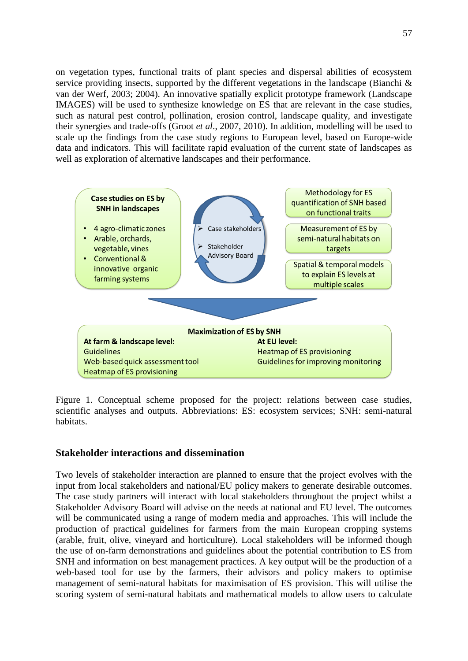on vegetation types, functional traits of plant species and dispersal abilities of ecosystem service providing insects, supported by the different vegetations in the landscape (Bianchi & van der Werf, 2003; 2004). An innovative spatially explicit prototype framework (Landscape IMAGES) will be used to synthesize knowledge on ES that are relevant in the case studies, such as natural pest control, pollination, erosion control, landscape quality, and investigate their synergies and trade-offs (Groot *et al*., 2007, 2010). In addition, modelling will be used to scale up the findings from the case study regions to European level, based on Europe-wide data and indicators. This will facilitate rapid evaluation of the current state of landscapes as well as exploration of alternative landscapes and their performance.



Figure 1. Conceptual scheme proposed for the project: relations between case studies, scientific analyses and outputs. Abbreviations: ES: ecosystem services; SNH: semi-natural habitats.

#### **Stakeholder interactions and dissemination**

Two levels of stakeholder interaction are planned to ensure that the project evolves with the input from local stakeholders and national/EU policy makers to generate desirable outcomes. The case study partners will interact with local stakeholders throughout the project whilst a Stakeholder Advisory Board will advise on the needs at national and EU level. The outcomes will be communicated using a range of modern media and approaches. This will include the production of practical guidelines for farmers from the main European cropping systems (arable, fruit, olive, vineyard and horticulture). Local stakeholders will be informed though the use of on-farm demonstrations and guidelines about the potential contribution to ES from SNH and information on best management practices. A key output will be the production of a web-based tool for use by the farmers, their advisors and policy makers to optimise management of semi-natural habitats for maximisation of ES provision. This will utilise the scoring system of semi-natural habitats and mathematical models to allow users to calculate